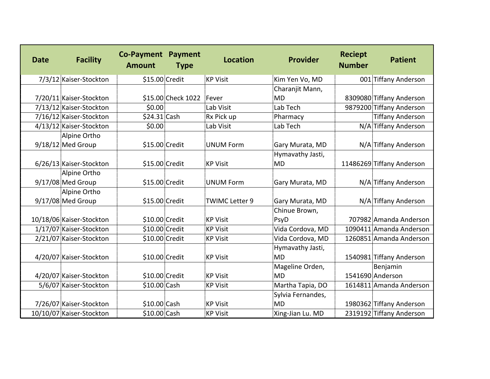| <b>Date</b> | <b>Facility</b>          | <b>Co-Payment</b><br><b>Amount</b> | <b>Payment</b><br><b>Type</b> | <b>Location</b>       | Provider          | <b>Reciept</b><br><b>Number</b> | <b>Patient</b>            |
|-------------|--------------------------|------------------------------------|-------------------------------|-----------------------|-------------------|---------------------------------|---------------------------|
|             | 7/3/12 Kaiser-Stockton   | \$15.00 Credit                     |                               | <b>KP Visit</b>       | Kim Yen Vo, MD    |                                 | 001 Tiffany Anderson      |
|             |                          |                                    |                               |                       | Charanjit Mann,   |                                 |                           |
|             | 7/20/11 Kaiser-Stockton  |                                    | \$15.00 Check 1022            | Fever                 | MD                |                                 | 8309080 Tiffany Anderson  |
|             | 7/13/12 Kaiser-Stockton  | \$0.00                             |                               | Lab Visit             | Lab Tech          |                                 | 9879200 Tiffany Anderson  |
|             | 7/16/12 Kaiser-Stockton  | \$24.31 Cash                       |                               | Rx Pick up            | Pharmacy          |                                 | <b>Tiffany Anderson</b>   |
|             | 4/13/12 Kaiser-Stockton  | \$0.00                             |                               | Lab Visit             | Lab Tech          |                                 | N/A Tiffany Anderson      |
|             | Alpine Ortho             |                                    |                               |                       |                   |                                 |                           |
|             | 9/18/12 Med Group        | \$15.00 Credit                     |                               | <b>UNUM Form</b>      | Gary Murata, MD   |                                 | N/A Tiffany Anderson      |
|             |                          |                                    |                               |                       | Hymavathy Jasti,  |                                 |                           |
|             | 6/26/13 Kaiser-Stockton  | \$15.00 Credit                     |                               | <b>KP Visit</b>       | <b>MD</b>         |                                 | 11486269 Tiffany Anderson |
|             | Alpine Ortho             |                                    |                               |                       |                   |                                 |                           |
|             | 9/17/08 Med Group        | \$15.00 Credit                     |                               | <b>UNUM Form</b>      | Gary Murata, MD   |                                 | N/A Tiffany Anderson      |
|             | Alpine Ortho             |                                    |                               |                       |                   |                                 |                           |
|             | $9/17/08$ Med Group      | \$15.00 Credit                     |                               | <b>TWIMC Letter 9</b> | Gary Murata, MD   |                                 | N/A Tiffany Anderson      |
|             |                          |                                    |                               |                       | Chinue Brown,     |                                 |                           |
|             | 10/18/06 Kaiser-Stockton | \$10.00 Credit                     |                               | <b>KP Visit</b>       | PsyD              |                                 | 707982 Amanda Anderson    |
|             | 1/17/07 Kaiser-Stockton  | \$10.00 Credit                     |                               | <b>KP Visit</b>       | Vida Cordova, MD  |                                 | 1090411 Amanda Anderson   |
|             | 2/21/07 Kaiser-Stockton  | \$10.00 Credit                     |                               | <b>KP Visit</b>       | Vida Cordova, MD  |                                 | 1260851 Amanda Anderson   |
|             |                          |                                    |                               |                       | Hymavathy Jasti,  |                                 |                           |
|             | 4/20/07 Kaiser-Stockton  | \$10.00 Credit                     |                               | <b>KP Visit</b>       | <b>MD</b>         |                                 | 1540981 Tiffany Anderson  |
|             |                          |                                    |                               |                       | Mageline Orden,   |                                 | Benjamin                  |
|             | 4/20/07 Kaiser-Stockton  | $$10.00$ Credit                    |                               | <b>KP Visit</b>       | <b>MD</b>         |                                 | 1541690 Anderson          |
|             | 5/6/07 Kaiser-Stockton   | \$10.00 Cash                       |                               | <b>KP Visit</b>       | Martha Tapia, DO  |                                 | 1614811 Amanda Anderson   |
|             |                          |                                    |                               |                       | Sylvia Fernandes, |                                 |                           |
|             | 7/26/07 Kaiser-Stockton  | \$10.00 Cash                       |                               | <b>KP Visit</b>       | MD                |                                 | 1980362 Tiffany Anderson  |
|             | 10/10/07 Kaiser-Stockton | \$10.00 Cash                       |                               | <b>KP Visit</b>       | Xing-Jian Lu. MD  |                                 | 2319192 Tiffany Anderson  |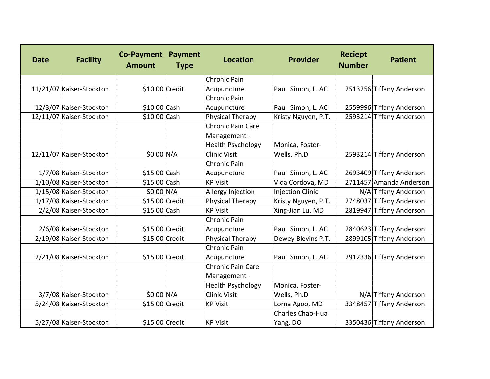| <b>Date</b> | <b>Facility</b>          | <b>Co-Payment Payment</b><br><b>Amount</b> | <b>Type</b> | <b>Location</b>          | Provider                | <b>Reciept</b><br><b>Number</b> | <b>Patient</b>           |
|-------------|--------------------------|--------------------------------------------|-------------|--------------------------|-------------------------|---------------------------------|--------------------------|
|             |                          |                                            |             | <b>Chronic Pain</b>      |                         |                                 |                          |
|             | 11/21/07 Kaiser-Stockton | \$10.00 Credit                             |             | Acupuncture              | Paul Simon, L. AC       |                                 | 2513256 Tiffany Anderson |
|             |                          |                                            |             | <b>Chronic Pain</b>      |                         |                                 |                          |
|             | 12/3/07 Kaiser-Stockton  | \$10.00 Cash                               |             | Acupuncture              | Paul Simon, L. AC       |                                 | 2559996 Tiffany Anderson |
|             | 12/11/07 Kaiser-Stockton | \$10.00 Cash                               |             | Physical Therapy         | Kristy Nguyen, P.T.     |                                 | 2593214 Tiffany Anderson |
|             |                          |                                            |             | <b>Chronic Pain Care</b> |                         |                                 |                          |
|             |                          |                                            |             | Management -             |                         |                                 |                          |
|             |                          |                                            |             | <b>Health Psychology</b> | Monica, Foster-         |                                 |                          |
|             | 12/11/07 Kaiser-Stockton | \$0.00 N/A                                 |             | <b>Clinic Visit</b>      | Wells, Ph.D             |                                 | 2593214 Tiffany Anderson |
|             |                          |                                            |             | Chronic Pain             |                         |                                 |                          |
|             | 1/7/08 Kaiser-Stockton   | \$15.00 Cash                               |             | Acupuncture              | Paul Simon, L. AC       |                                 | 2693409 Tiffany Anderson |
|             | 1/10/08 Kaiser-Stockton  | \$15.00 Cash                               |             | <b>KP Visit</b>          | Vida Cordova, MD        |                                 | 2711457 Amanda Anderson  |
|             | 1/15/08 Kaiser-Stockton  | \$0.00 N/A                                 |             | Allergy Injection        | <b>Injection Clinic</b> |                                 | N/A Tiffany Anderson     |
|             | 1/17/08 Kaiser-Stockton  | \$15.00 Credit                             |             | Physical Therapy         | Kristy Nguyen, P.T.     |                                 | 2748037 Tiffany Anderson |
|             | 2/2/08 Kaiser-Stockton   | \$15.00 Cash                               |             | <b>KP Visit</b>          | Xing-Jian Lu. MD        |                                 | 2819947 Tiffany Anderson |
|             |                          |                                            |             | <b>Chronic Pain</b>      |                         |                                 |                          |
|             | 2/6/08 Kaiser-Stockton   | $$15.00$ Credit                            |             | Acupuncture              | Paul Simon, L. AC       |                                 | 2840623 Tiffany Anderson |
|             | 2/19/08 Kaiser-Stockton  | \$15.00 Credit                             |             | Physical Therapy         | Dewey Blevins P.T.      |                                 | 2899105 Tiffany Anderson |
|             |                          |                                            |             | <b>Chronic Pain</b>      |                         |                                 |                          |
|             | 2/21/08 Kaiser-Stockton  | \$15.00 Credit                             |             | Acupuncture              | Paul Simon, L. AC       |                                 | 2912336 Tiffany Anderson |
|             |                          |                                            |             | Chronic Pain Care        |                         |                                 |                          |
|             |                          |                                            |             | Management -             |                         |                                 |                          |
|             |                          |                                            |             | <b>Health Psychology</b> | Monica, Foster-         |                                 |                          |
|             | 3/7/08 Kaiser-Stockton   | $$0.00 \text{ N/A}$                        |             | <b>Clinic Visit</b>      | Wells, Ph.D             |                                 | N/A Tiffany Anderson     |
|             | 5/24/08 Kaiser-Stockton  | \$15.00 Credit                             |             | <b>KP Visit</b>          | Lorna Agoo, MD          |                                 | 3348457 Tiffany Anderson |
|             |                          |                                            |             |                          | Charles Chao-Hua        |                                 |                          |
|             | 5/27/08 Kaiser-Stockton  | \$15.00 Credit                             |             | <b>KP Visit</b>          | Yang, DO                |                                 | 3350436 Tiffany Anderson |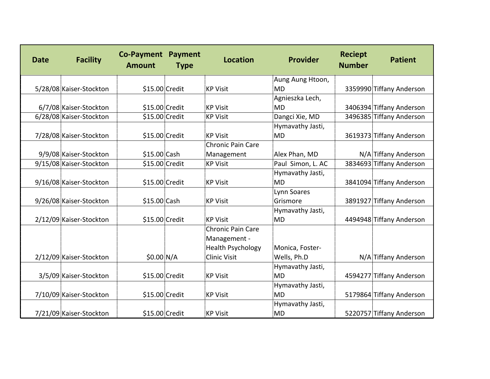| <b>Date</b> | <b>Facility</b>         | <b>Co-Payment Payment</b><br><b>Amount</b> | <b>Type</b> | <b>Location</b>          | Provider          | <b>Reciept</b><br><b>Number</b> | <b>Patient</b>           |
|-------------|-------------------------|--------------------------------------------|-------------|--------------------------|-------------------|---------------------------------|--------------------------|
|             |                         |                                            |             |                          | Aung Aung Htoon,  |                                 |                          |
|             | 5/28/08 Kaiser-Stockton | \$15.00 Credit                             |             | <b>KP Visit</b>          | <b>MD</b>         |                                 | 3359990 Tiffany Anderson |
|             |                         |                                            |             |                          | Agnieszka Lech,   |                                 |                          |
|             | 6/7/08 Kaiser-Stockton  | \$15.00 Credit                             |             | <b>KP Visit</b>          | <b>MD</b>         |                                 | 3406394 Tiffany Anderson |
|             | 6/28/08 Kaiser-Stockton | \$15.00 Credit                             |             | <b>KP Visit</b>          | Dangci Xie, MD    |                                 | 3496385 Tiffany Anderson |
|             |                         |                                            |             |                          | Hymavathy Jasti,  |                                 |                          |
|             | 7/28/08 Kaiser-Stockton | \$15.00 Credit                             |             | <b>KP Visit</b>          | <b>MD</b>         |                                 | 3619373 Tiffany Anderson |
|             |                         |                                            |             | <b>Chronic Pain Care</b> |                   |                                 |                          |
|             | 9/9/08 Kaiser-Stockton  | \$15.00 Cash                               |             | Management               | Alex Phan, MD     |                                 | N/A Tiffany Anderson     |
|             | 9/15/08 Kaiser-Stockton | \$15.00 Credit                             |             | <b>KP Visit</b>          | Paul Simon, L. AC |                                 | 3834693 Tiffany Anderson |
|             |                         |                                            |             |                          | Hymavathy Jasti,  |                                 |                          |
|             | 9/16/08 Kaiser-Stockton | \$15.00 Credit                             |             | <b>KP Visit</b>          | MD                |                                 | 3841094 Tiffany Anderson |
|             |                         |                                            |             |                          | Lynn Soares       |                                 |                          |
|             | 9/26/08 Kaiser-Stockton | \$15.00 Cash                               |             | <b>KP Visit</b>          | Grismore          |                                 | 3891927 Tiffany Anderson |
|             |                         |                                            |             |                          | Hymavathy Jasti,  |                                 |                          |
|             | 2/12/09 Kaiser-Stockton | $$15.00$ Credit                            |             | <b>KP Visit</b>          | <b>MD</b>         |                                 | 4494948 Tiffany Anderson |
|             |                         |                                            |             | Chronic Pain Care        |                   |                                 |                          |
|             |                         |                                            |             | Management -             |                   |                                 |                          |
|             |                         |                                            |             | <b>Health Psychology</b> | Monica, Foster-   |                                 |                          |
|             | 2/12/09 Kaiser-Stockton | $$0.00 \, N/A$                             |             | <b>Clinic Visit</b>      | Wells, Ph.D       |                                 | N/A Tiffany Anderson     |
|             |                         |                                            |             |                          | Hymavathy Jasti,  |                                 |                          |
|             | 3/5/09 Kaiser-Stockton  | \$15.00 Credit                             |             | <b>KP Visit</b>          | <b>MD</b>         |                                 | 4594277 Tiffany Anderson |
|             |                         |                                            |             |                          | Hymavathy Jasti,  |                                 |                          |
|             | 7/10/09 Kaiser-Stockton | \$15.00 Credit                             |             | <b>KP Visit</b>          | <b>MD</b>         |                                 | 5179864 Tiffany Anderson |
|             |                         |                                            |             |                          | Hymavathy Jasti,  |                                 |                          |
|             | 7/21/09 Kaiser-Stockton | \$15.00 Credit                             |             | <b>KP Visit</b>          | <b>MD</b>         |                                 | 5220757 Tiffany Anderson |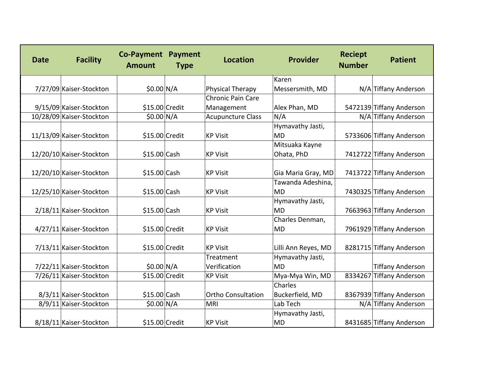| <b>Date</b> | <b>Facility</b>          | <b>Co-Payment Payment</b><br><b>Amount</b> | <b>Type</b> | <b>Location</b>           | Provider            | <b>Reciept</b><br><b>Number</b> | <b>Patient</b>           |
|-------------|--------------------------|--------------------------------------------|-------------|---------------------------|---------------------|---------------------------------|--------------------------|
|             |                          |                                            |             |                           | Karen               |                                 |                          |
|             | 7/27/09 Kaiser-Stockton  | $$0.00 \, N/A$                             |             | Physical Therapy          | Messersmith, MD     |                                 | N/A Tiffany Anderson     |
|             |                          |                                            |             | <b>Chronic Pain Care</b>  |                     |                                 |                          |
|             | 9/15/09 Kaiser-Stockton  | $$15.00$ Credit                            |             | Management                | Alex Phan, MD       |                                 | 5472139 Tiffany Anderson |
|             | 10/28/09 Kaiser-Stockton | \$0.00 N/A                                 |             | <b>Acupuncture Class</b>  | N/A                 |                                 | N/A Tiffany Anderson     |
|             |                          |                                            |             |                           | Hymavathy Jasti,    |                                 |                          |
|             | 11/13/09 Kaiser-Stockton | \$15.00 Credit                             |             | <b>KP Visit</b>           | <b>MD</b>           |                                 | 5733606 Tiffany Anderson |
|             |                          |                                            |             |                           | Mitsuaka Kayne      |                                 |                          |
|             | 12/20/10 Kaiser-Stockton | \$15.00 Cash                               |             | <b>KP Visit</b>           | Ohata, PhD          |                                 | 7412722 Tiffany Anderson |
|             |                          |                                            |             |                           |                     |                                 |                          |
|             | 12/20/10 Kaiser-Stockton | \$15.00 Cash                               |             | <b>KP Visit</b>           | Gia Maria Gray, MD  |                                 | 7413722 Tiffany Anderson |
|             |                          |                                            |             |                           | Tawanda Adeshina,   |                                 |                          |
|             | 12/25/10 Kaiser-Stockton | \$15.00 Cash                               |             | <b>KP Visit</b>           | <b>MD</b>           |                                 | 7430325 Tiffany Anderson |
|             |                          |                                            |             |                           | Hymavathy Jasti,    |                                 |                          |
|             | 2/18/11 Kaiser-Stockton  | \$15.00 Cash                               |             | <b>KP Visit</b>           | <b>MD</b>           |                                 | 7663963 Tiffany Anderson |
|             |                          |                                            |             |                           | Charles Denman,     |                                 |                          |
|             | 4/27/11 Kaiser-Stockton  | \$15.00 Credit                             |             | <b>KP Visit</b>           | <b>MD</b>           |                                 | 7961929 Tiffany Anderson |
|             |                          |                                            |             |                           |                     |                                 |                          |
|             | 7/13/11 Kaiser-Stockton  | \$15.00 Credit                             |             | <b>KP Visit</b>           | Lilli Ann Reyes, MD |                                 | 8281715 Tiffany Anderson |
|             |                          |                                            |             | Treatment                 | Hymavathy Jasti,    |                                 |                          |
|             | 7/22/11 Kaiser-Stockton  | \$0.00 N/A                                 |             | Verification              | <b>MD</b>           |                                 | <b>Tiffany Anderson</b>  |
|             | 7/26/11 Kaiser-Stockton  | \$15.00 Credit                             |             | <b>KP Visit</b>           | Mya-Mya Win, MD     |                                 | 8334267 Tiffany Anderson |
|             |                          |                                            |             |                           | Charles             |                                 |                          |
|             | 8/3/11 Kaiser-Stockton   | \$15.00 Cash                               |             | <b>Ortho Consultation</b> | Buckerfield, MD     |                                 | 8367939 Tiffany Anderson |
|             | 8/9/11 Kaiser-Stockton   | \$0.00 N/A                                 |             | <b>MRI</b>                | Lab Tech            |                                 | N/A Tiffany Anderson     |
|             |                          |                                            |             |                           | Hymavathy Jasti,    |                                 |                          |
|             | 8/18/11 Kaiser-Stockton  | \$15.00 Credit                             |             | <b>KP Visit</b>           | <b>MD</b>           |                                 | 8431685 Tiffany Anderson |